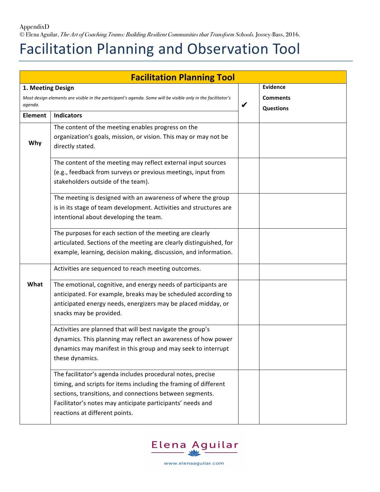AppendixD © Elena Aguilar, *The Art of Coaching Teams: Building Resilient Communities that Transform Schools.* Jossey-Bass, 2016.

## Facilitation Planning and Observation Tool

| <b>Facilitation Planning Tool</b>                                                                                       |                                                                                                                                                                                                                                                                                             |   |                                     |  |  |
|-------------------------------------------------------------------------------------------------------------------------|---------------------------------------------------------------------------------------------------------------------------------------------------------------------------------------------------------------------------------------------------------------------------------------------|---|-------------------------------------|--|--|
| 1. Meeting Design                                                                                                       |                                                                                                                                                                                                                                                                                             |   | <b>Evidence</b>                     |  |  |
| Most design elements are visible in the participant's agenda. Some will be visible only in the facilitator's<br>agenda. |                                                                                                                                                                                                                                                                                             | ✔ | <b>Comments</b><br><b>Questions</b> |  |  |
| <b>Element</b>                                                                                                          | <b>Indicators</b>                                                                                                                                                                                                                                                                           |   |                                     |  |  |
| Why                                                                                                                     | The content of the meeting enables progress on the<br>organization's goals, mission, or vision. This may or may not be<br>directly stated.                                                                                                                                                  |   |                                     |  |  |
|                                                                                                                         | The content of the meeting may reflect external input sources<br>(e.g., feedback from surveys or previous meetings, input from<br>stakeholders outside of the team).                                                                                                                        |   |                                     |  |  |
|                                                                                                                         | The meeting is designed with an awareness of where the group<br>is in its stage of team development. Activities and structures are<br>intentional about developing the team.                                                                                                                |   |                                     |  |  |
|                                                                                                                         | The purposes for each section of the meeting are clearly<br>articulated. Sections of the meeting are clearly distinguished, for<br>example, learning, decision making, discussion, and information.                                                                                         |   |                                     |  |  |
|                                                                                                                         | Activities are sequenced to reach meeting outcomes.                                                                                                                                                                                                                                         |   |                                     |  |  |
| What                                                                                                                    | The emotional, cognitive, and energy needs of participants are<br>anticipated. For example, breaks may be scheduled according to<br>anticipated energy needs, energizers may be placed midday, or<br>snacks may be provided.                                                                |   |                                     |  |  |
|                                                                                                                         | Activities are planned that will best navigate the group's<br>dynamics. This planning may reflect an awareness of how power<br>dynamics may manifest in this group and may seek to interrupt<br>these dynamics.                                                                             |   |                                     |  |  |
|                                                                                                                         | The facilitator's agenda includes procedural notes, precise<br>timing, and scripts for items including the framing of different<br>sections, transitions, and connections between segments.<br>Facilitator's notes may anticipate participants' needs and<br>reactions at different points. |   |                                     |  |  |

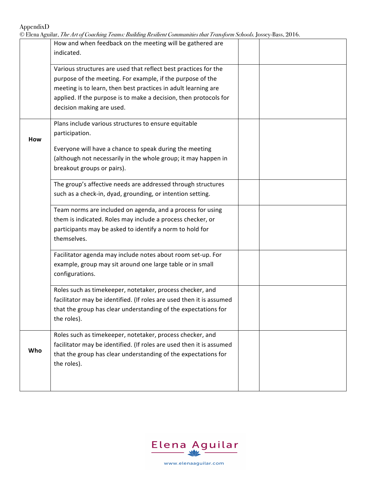AppendixD

| © Elena Aguilar, <i>The Art of Coaching Teams: Building Resilient Communities that Transform Schools.</i> Jossey-Bass, 2016. |  |  |  |
|------------------------------------------------------------------------------------------------------------------------------|--|--|--|
|                                                                                                                              |  |  |  |

|     | $\sim$ Lieturi Land, The Th of Courting Feature. Durante Technical Communities that Fransporm Schools, Jossef Bass, 2010.                                                                                          |  |  |
|-----|--------------------------------------------------------------------------------------------------------------------------------------------------------------------------------------------------------------------|--|--|
|     | How and when feedback on the meeting will be gathered are<br>indicated.                                                                                                                                            |  |  |
|     | Various structures are used that reflect best practices for the<br>purpose of the meeting. For example, if the purpose of the                                                                                      |  |  |
|     | meeting is to learn, then best practices in adult learning are<br>applied. If the purpose is to make a decision, then protocols for<br>decision making are used.                                                   |  |  |
| How | Plans include various structures to ensure equitable<br>participation.                                                                                                                                             |  |  |
|     | Everyone will have a chance to speak during the meeting<br>(although not necessarily in the whole group; it may happen in<br>breakout groups or pairs).                                                            |  |  |
|     | The group's affective needs are addressed through structures<br>such as a check-in, dyad, grounding, or intention setting.                                                                                         |  |  |
|     | Team norms are included on agenda, and a process for using<br>them is indicated. Roles may include a process checker, or<br>participants may be asked to identify a norm to hold for<br>themselves.                |  |  |
|     | Facilitator agenda may include notes about room set-up. For<br>example, group may sit around one large table or in small<br>configurations.                                                                        |  |  |
|     | Roles such as timekeeper, notetaker, process checker, and<br>facilitator may be identified. (If roles are used then it is assumed<br>that the group has clear understanding of the expectations for<br>the roles). |  |  |
| Who | Roles such as timekeeper, notetaker, process checker, and<br>facilitator may be identified. (If roles are used then it is assumed<br>that the group has clear understanding of the expectations for<br>the roles). |  |  |
|     |                                                                                                                                                                                                                    |  |  |

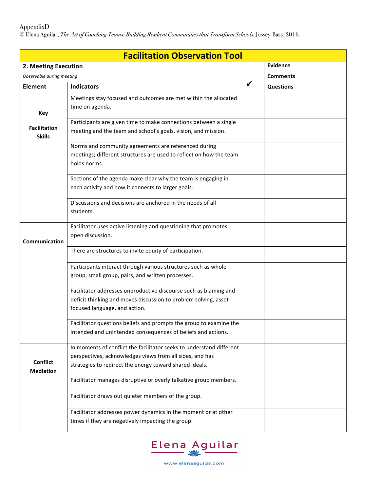## AppendixD

© Elena Aguilar, *The Art of Coaching Teams: Building Resilient Communities that Transform Schools.* Jossey-Bass, 2016.

| <b>Facilitation Observation Tool</b> |                                                                         |   |                  |  |  |
|--------------------------------------|-------------------------------------------------------------------------|---|------------------|--|--|
| 2. Meeting Execution                 |                                                                         |   | <b>Evidence</b>  |  |  |
| Observable during meeting            |                                                                         |   | <b>Comments</b>  |  |  |
| <b>Element</b>                       | <b>Indicators</b>                                                       | ✔ | <b>Questions</b> |  |  |
|                                      | Meetings stay focused and outcomes are met within the allocated         |   |                  |  |  |
| Key                                  | time on agenda.                                                         |   |                  |  |  |
|                                      | Participants are given time to make connections between a single        |   |                  |  |  |
| <b>Facilitation</b><br><b>Skills</b> | meeting and the team and school's goals, vision, and mission.           |   |                  |  |  |
|                                      | Norms and community agreements are referenced during                    |   |                  |  |  |
|                                      | meetings; different structures are used to reflect on how the team      |   |                  |  |  |
|                                      | holds norms.                                                            |   |                  |  |  |
|                                      | Sections of the agenda make clear why the team is engaging in           |   |                  |  |  |
|                                      | each activity and how it connects to larger goals.                      |   |                  |  |  |
|                                      |                                                                         |   |                  |  |  |
|                                      | Discussions and decisions are anchored in the needs of all<br>students. |   |                  |  |  |
|                                      |                                                                         |   |                  |  |  |
|                                      | Facilitator uses active listening and questioning that promotes         |   |                  |  |  |
| Communication                        | open discussion.                                                        |   |                  |  |  |
|                                      | There are structures to invite equity of participation.                 |   |                  |  |  |
|                                      |                                                                         |   |                  |  |  |
|                                      | Participants interact through various structures such as whole          |   |                  |  |  |
|                                      | group, small group, pairs, and written processes.                       |   |                  |  |  |
|                                      | Facilitator addresses unproductive discourse such as blaming and        |   |                  |  |  |
|                                      | deficit thinking and moves discussion to problem solving, asset-        |   |                  |  |  |
|                                      | focused language, and action.                                           |   |                  |  |  |
|                                      | Facilitator questions beliefs and prompts the group to examine the      |   |                  |  |  |
|                                      | intended and unintended consequences of beliefs and actions.            |   |                  |  |  |
|                                      | In moments of conflict the facilitator seeks to understand different    |   |                  |  |  |
|                                      | perspectives, acknowledges views from all sides, and has                |   |                  |  |  |
| <b>Conflict</b><br><b>Mediation</b>  | strategies to redirect the energy toward shared ideals.                 |   |                  |  |  |
|                                      | Facilitator manages disruptive or overly talkative group members.       |   |                  |  |  |
|                                      | Facilitator draws out quieter members of the group.                     |   |                  |  |  |
|                                      | Facilitator addresses power dynamics in the moment or at other          |   |                  |  |  |
|                                      | times if they are negatively impacting the group.                       |   |                  |  |  |